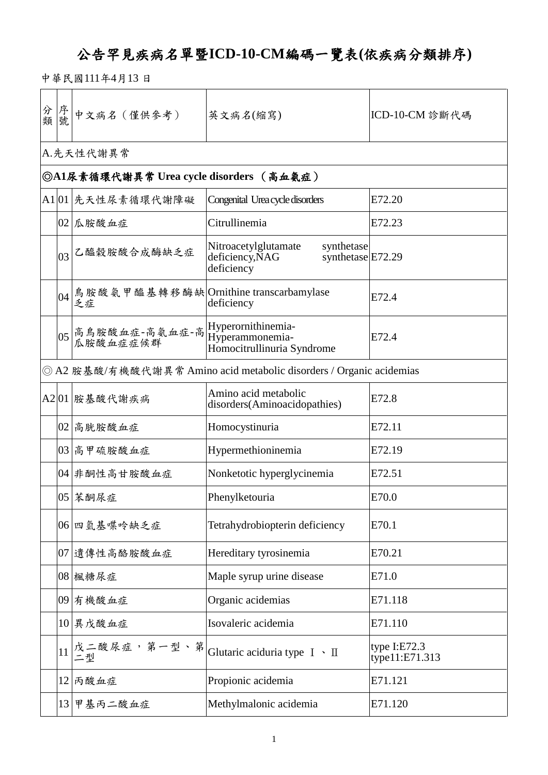## 公告罕見疾病名單暨**ICD-10-CM**編碼一覽表**(**依疾病分類排序**)**

中華民國111年4月13 日

| 分 序號 |    | 中文病名 (僅供參考)                                                         | 英文病名(縮寫)                                                                                 | ICD-10-CM 診斷代碼                 |
|------|----|---------------------------------------------------------------------|------------------------------------------------------------------------------------------|--------------------------------|
|      |    | A.先天性代謝異常                                                           |                                                                                          |                                |
|      |    | ◎A1尿素循環代謝異常 Urea cycle disorders (高血氨症)                             |                                                                                          |                                |
|      |    | A1 01 先天性尿素循環代謝障礙                                                   | Congenital Urea cycle disorders                                                          | E72.20                         |
|      |    | $ 02 $ 瓜胺酸血症                                                        | Citrullinemia                                                                            | E72.23                         |
|      | 03 | 乙醯榖胺酸合成酶缺乏症                                                         | Nitroacetylglutamate<br>synthetase<br>synthetase E72.29<br>deficiency, NAG<br>deficiency |                                |
|      |    | 04 鳥胺酸氨甲醯基轉移酶缺 Ornithine transcarbamylase<br>乏症                     | deficiency                                                                               | E72.4                          |
|      |    | 05 高鳥胺酸血症-高氨血症-高 Hyperornithinemia-<br>  瓜胺酸血症症候群   Hyperammonemia- | Homocitrullinuria Syndrome                                                               | E72.4                          |
|      |    |                                                                     | ◎ A2 胺基酸/有機酸代謝異常 Amino acid metabolic disorders / Organic acidemias                      |                                |
|      |    | A2 01 胺基酸代謝疾病                                                       | Amino acid metabolic<br>disorders(Aminoacidopathies)                                     | E72.8                          |
|      |    | 02 高胱胺酸血症                                                           | Homocystinuria                                                                           | E72.11                         |
|      |    | 03 高甲硫胺酸血症                                                          | Hypermethioninemia                                                                       | E72.19                         |
|      |    | 04 非酮性高甘胺酸血症                                                        | Nonketotic hyperglycinemia                                                               | E72.51                         |
|      |    | 05 茉酮尿症                                                             | Phenylketouria                                                                           | E70.0                          |
|      |    | 06 四氫基喋呤缺乏症                                                         | Tetrahydrobiopterin deficiency                                                           | E70.1                          |
|      |    | 07 遺傳性高酪胺酸血症                                                        | Hereditary tyrosinemia                                                                   | E70.21                         |
|      |    | 08 楓糖尿症                                                             | Maple syrup urine disease                                                                | E71.0                          |
|      |    | 09 有機酸血症                                                            | Organic acidemias                                                                        | E71.118                        |
|      |    | 10 異戊酸血症                                                            | Isovaleric acidemia                                                                      | E71.110                        |
|      | 11 |                                                                     | 戊二酸尿症,第一型、第  Glutaric aciduria type Ⅰ、Ⅱ<br> 二型                                           | type I:E72.3<br>type11:E71.313 |
|      |    | 12 丙酸血症                                                             | Propionic acidemia                                                                       | E71.121                        |
|      |    | 13 甲基丙二酸血症                                                          | Methylmalonic acidemia                                                                   | E71.120                        |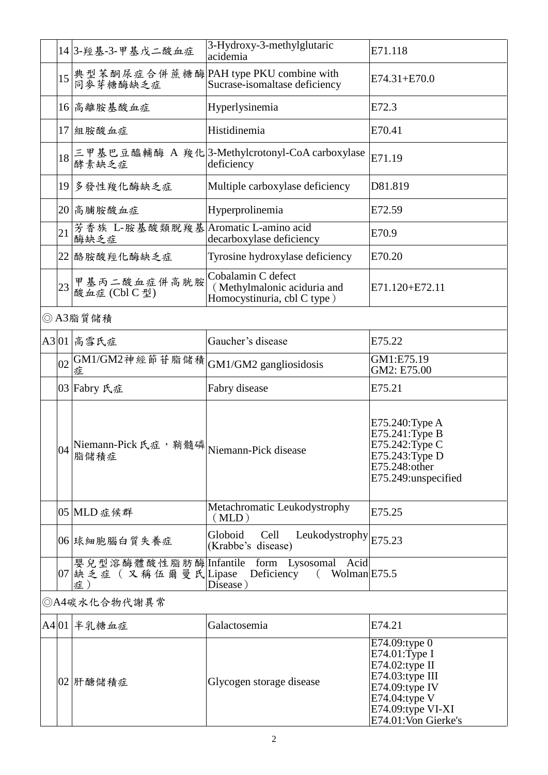|              | 14 3- 羥基-3-甲基戊二酸血症                                         | 3-Hydroxy-3-methylglutaric<br>acidemia                                                                              | E71.118                                                                                                          |  |  |
|--------------|------------------------------------------------------------|---------------------------------------------------------------------------------------------------------------------|------------------------------------------------------------------------------------------------------------------|--|--|
|              |                                                            | 15 典型苯酮尿症合併蔗糖酶 PAH type PKU combine with<br>同麥芽糖酶缺乏症 Sucrase-isomaltase deficiency<br>Sucrase-isomaltase deficiency | $E74.31 + E70.0$                                                                                                 |  |  |
|              | 16 高離胺基酸血症                                                 | Hyperlysinemia                                                                                                      | E72.3                                                                                                            |  |  |
|              | 17 組胺酸血症                                                   | Histidinemia                                                                                                        | E70.41                                                                                                           |  |  |
|              |                                                            | 18 三甲基巴豆醯輔酶 A 羧化 3-Methylcrotonyl-CoA carboxylase<br>deficiency<br>deficiency                                       | E71.19                                                                                                           |  |  |
|              | 19 多發性羧化酶缺乏症                                               | Multiple carboxylase deficiency                                                                                     | D81.819                                                                                                          |  |  |
|              | 20 高脯胺酸血症                                                  | Hyperprolinemia                                                                                                     | E72.59                                                                                                           |  |  |
| 21           | 芳香族 L-胺基酸類脫羧基Aromatic L-amino acid<br>酶缺乏症                 | decarboxylase deficiency                                                                                            | E70.9                                                                                                            |  |  |
|              | 22 酪胺酸羥化酶缺乏症                                               | Tyrosine hydroxylase deficiency                                                                                     | E70.20                                                                                                           |  |  |
|              | 23 甲基丙二酸血症併高胱胺<br>酸血症 (Cbl C 型)                            | Cobalamin C defect<br>(Methylmalonic aciduria and<br>Homocystinuria, cbl C type)                                    | E71.120+E72.11                                                                                                   |  |  |
|              | ◎ A3脂質儲積                                                   |                                                                                                                     |                                                                                                                  |  |  |
|              | A3 01 高雪氏症                                                 | Gaucher's disease                                                                                                   | E75.22                                                                                                           |  |  |
|              | $ 02 $ GM1/GM2神經節苷脂儲積<br>症                                 | GM1/GM2 gangliosidosis                                                                                              | GM1:E75.19<br>GM2: E75.00                                                                                        |  |  |
|              | 03   Fabry 氏症                                              | Fabry disease                                                                                                       | E75.21                                                                                                           |  |  |
|              | 04 Niemann-Pick 氏症,鞘髓磷 Niemann-Pick disease<br>脂储積症        |                                                                                                                     | E75.240: Type A<br>E75.241: Type B<br>E75.242: Type C<br>E75.243: Type D<br>E75.248:other<br>E75.249:unspecified |  |  |
|              | 05 MLD 症候群                                                 | Metachromatic Leukodystrophy<br>(MLD)                                                                               | E75.25                                                                                                           |  |  |
|              | 06 球細胞腦白質失養症                                               | Globoid<br>Leukodystrophy $ E75.23$<br>Cell<br>(Krabbe's disease)                                                   |                                                                                                                  |  |  |
|              | 嬰兒型溶酶體酸性脂肪酶Infantile<br>$ 07 $ 缺乏症(又稱伍爾曼氏 $ $ Lipase<br>症) | form Lysosomal<br>Acid<br>Wolman E75.5<br>Deficiency<br>$\left($<br>Disease)                                        |                                                                                                                  |  |  |
| ◎A4碳水化合物代謝異常 |                                                            |                                                                                                                     |                                                                                                                  |  |  |
|              | A4 01 半乳糖血症                                                | Galactosemia                                                                                                        | E74.21                                                                                                           |  |  |
|              | 02 肝醣儲積症                                                   | Glycogen storage disease                                                                                            | E74.09:type 0<br>E74.01:Type I<br>E74.02:type II<br>$E74.03$ :type III<br>$E74.09$ :type IV<br>E74.04:type V     |  |  |

E74.09:type VI-XI E74.01:Von Gierke's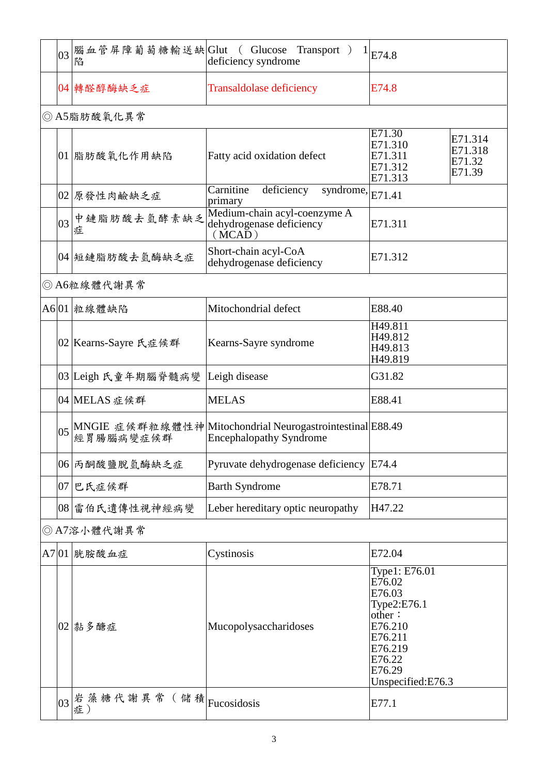|    | $\left 03\right $ 腦血管屏障葡萄糖輸送缺 $\left $ Glut ( Glucose<br>陷 | Transport )<br>deficiency syndrome                                                                       | E74.8                                                                                                                                |
|----|------------------------------------------------------------|----------------------------------------------------------------------------------------------------------|--------------------------------------------------------------------------------------------------------------------------------------|
|    | 04 轉醛醇酶缺乏症                                                 | <b>Transaldolase deficiency</b>                                                                          | E74.8                                                                                                                                |
|    | ◎ A5脂肪酸氧化異常                                                |                                                                                                          |                                                                                                                                      |
|    | 01 脂肪酸氧化作用缺陷                                               | Fatty acid oxidation defect                                                                              | E71.30<br>E71.314<br>E71.310<br>E71.318<br>E71.311<br>E71.32<br>E71.312<br>E71.39<br>E71.313                                         |
|    | 02 原發性肉鹼缺乏症                                                | Carnitine<br>deficiency<br>syndrome, $ E71.41$<br>primary                                                |                                                                                                                                      |
| 03 | 中鏈脂肪酸去氫酵素缺乏<br>症                                           | Medium-chain acyl-coenzyme A<br>dehydrogenase deficiency<br>(MCAD)                                       | E71.311                                                                                                                              |
|    | 04 短鏈脂肪酸去氫酶缺乏症                                             | Short-chain acyl-CoA<br>dehydrogenase deficiency                                                         | E71.312                                                                                                                              |
|    | ◎ A6粒線體代謝異常                                                |                                                                                                          |                                                                                                                                      |
|    | A6 01 粒線體缺陷                                                | Mitochondrial defect                                                                                     | E88.40                                                                                                                               |
|    | 02   Kearns-Sayre 氏症候群                                     | Kearns-Sayre syndrome                                                                                    | H49.811<br>H49.812<br>H49.813<br>H49.819                                                                                             |
|    | 03  Leigh 氏童年期腦脊髓病變                                        | Leigh disease                                                                                            | G31.82                                                                                                                               |
|    | 04 MELAS 症候群                                               | <b>MELAS</b>                                                                                             | E88.41                                                                                                                               |
|    |                                                            | 05  MNGIE 症候群粒線體性神  Mitochondrial Neurogastrointestinal  E88.49 <br> 經胃腸腦病變症候群   Encephalopathy Syndrome |                                                                                                                                      |
|    | 06 丙酮酸鹽脫氫酶缺乏症                                              | Pyruvate dehydrogenase deficiency                                                                        | E74.4                                                                                                                                |
|    | 07 巴氏症候群                                                   | <b>Barth Syndrome</b>                                                                                    | E78.71                                                                                                                               |
|    | 08 雷伯氏遺傳性視神經病變                                             | Leber hereditary optic neuropathy                                                                        | H47.22                                                                                                                               |
|    | ◎ A7溶小體代謝異常                                                |                                                                                                          |                                                                                                                                      |
|    | A7 01 胱胺酸血症                                                | Cystinosis                                                                                               | E72.04                                                                                                                               |
|    | 02   黏多醣症                                                  | Mucopolysaccharidoses                                                                                    | Type1: E76.01<br>E76.02<br>E76.03<br>Type2:E76.1<br>other:<br>E76.210<br>E76.211<br>E76.219<br>E76.22<br>E76.29<br>Unspecified:E76.3 |

 $\begin{array}{r} 03 \mid \pm \tilde{\ast} \not \equiv \# \n\pm 0 \end{array}$  (  $\begin{array}{r} \pm \# \# \n\end{array}$   $\begin{array}{r} \pm \# \end{array}$   $\begin{array}{r} \pm \# \end{array}$   $\begin{array}{r} \pm \# \end{array}$   $\begin{array}{r} \pm \# \end{array}$   $\begin{array}{r} \pm \# \end{array}$   $\begin{array}{r} \pm \# \end{array}$   $\begin{array}{r} \pm \# \end{array}$   $\begin{array}{r} \pm \# \end{array}$   $\begin$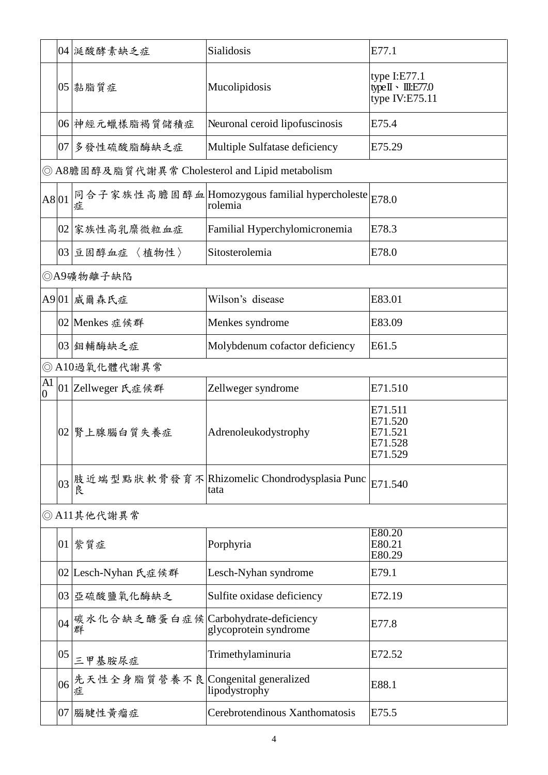|                      |    | 04 挺酸酵素缺乏症                                      | Sialidosis                                                            | E77.1                                                                            |
|----------------------|----|-------------------------------------------------|-----------------------------------------------------------------------|----------------------------------------------------------------------------------|
|                      |    | $ 05 $ 黏脂質症                                     | Mucolipidosis                                                         | type $I: E77.1$<br>type $\mathbb{I} \cdot \mathbb{II}$ : E77.0<br>type IV:E75.11 |
|                      |    | 06 神經元蠟樣脂褐質儲積症                                  | Neuronal ceroid lipofuscinosis                                        | E75.4                                                                            |
|                      |    | 07 多發性硫酸脂酶缺乏症                                   | Multiple Sulfatase deficiency                                         | E75.29                                                                           |
|                      |    | ◎ A8膽固醇及脂質代謝異常 Cholesterol and Lipid metabolism |                                                                       |                                                                                  |
| A8 01                |    | 症                                               | 同合子家族性高膽固醇血Homozygous familial hypercholeste $ _{E78.0}\>$<br>rolemia |                                                                                  |
|                      |    | 02 家族性高乳糜微粒血症                                   | Familial Hyperchylomicronemia                                         | E78.3                                                                            |
|                      |    | 03 豆固醇血症 〈植物性〉                                  | Sitosterolemia                                                        | E78.0                                                                            |
|                      |    | ◎A9礦物離子缺陷                                       |                                                                       |                                                                                  |
|                      |    | A9 01 威爾森氏症                                     | Wilson's disease                                                      | E83.01                                                                           |
|                      |    | 02  Menkes 症候群                                  | Menkes syndrome                                                       | E83.09                                                                           |
|                      |    | 03 鉬輔酶缺乏症                                       | Molybdenum cofactor deficiency                                        | E61.5                                                                            |
|                      |    | ◎ A10過氧化體代謝異常                                   |                                                                       |                                                                                  |
| A1<br>$\overline{0}$ |    | 01 Zellweger 氏症候群                               | Zellweger syndrome                                                    | E71.510                                                                          |
|                      |    | 02   腎上腺腦白質失養症                                  | Adrenoleukodystrophy                                                  | E71.511<br>E71.520<br>E71.521<br>E71.528<br>E71.529                              |
|                      |    | 艮                                               | 03 肢近端型點狀軟骨發育不 Rhizomelic Chondrodysplasia Punc<br>tata               | E71.540                                                                          |
|                      |    | ◎ A11其他代謝異常                                     |                                                                       |                                                                                  |
|                      |    | $ 01 $ 紫質症                                      | Porphyria                                                             | E80.20<br>E80.21<br>E80.29                                                       |
|                      |    | 02 Lesch-Nyhan 氏症候群                             | Lesch-Nyhan syndrome                                                  | E79.1                                                                            |
|                      |    | 03 亞硫酸鹽氧化酶缺乏                                    | Sulfite oxidase deficiency                                            | E72.19                                                                           |
|                      |    | 04 碳水化合缺乏醣蛋白症候 Carbohydrate-deficiency          |                                                                       | E77.8                                                                            |
|                      | 05 | 三甲基胺尿症                                          | Trimethylaminuria                                                     | E72.52                                                                           |
|                      | 06 | 先天性全身脂質營養不良 Congenital generalized<br>症         | lipodystrophy                                                         | E88.1                                                                            |
|                      |    | $ 07 $ 腦腱性黃瘤症                                   | Cerebrotendinous Xanthomatosis                                        | E75.5                                                                            |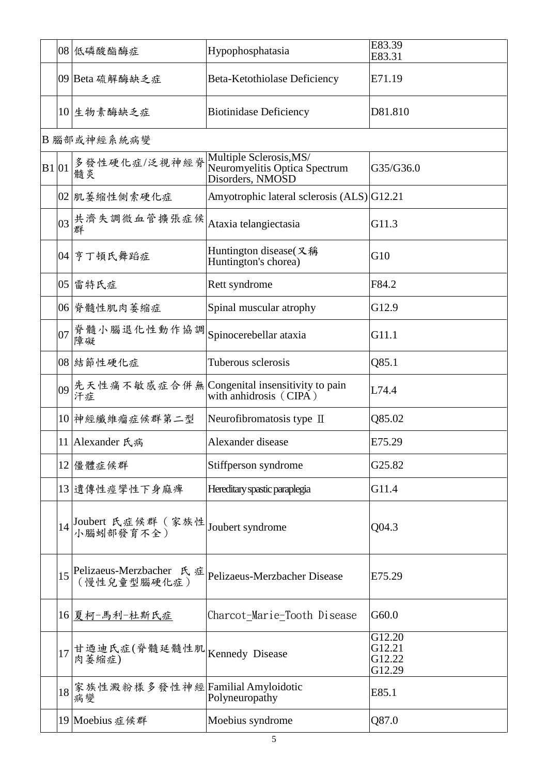|       |                 | 08 低磷酸酯酶症                                 | Hypophosphatasia                                                             | E83.39<br>E83.31                     |
|-------|-----------------|-------------------------------------------|------------------------------------------------------------------------------|--------------------------------------|
|       |                 | 09 Beta 硫解酶缺乏症                            | Beta-Ketothiolase Deficiency                                                 | E71.19                               |
|       |                 | 10 生物素酶缺乏症                                | <b>Biotinidase Deficiency</b>                                                | D81.810                              |
|       |                 | B 腦部或神經系統病變                               |                                                                              |                                      |
| B1 01 |                 | 多發性硬化症/泛視神經脊<br>髓炎                        | Multiple Sclerosis, MS/<br>Neuromyelitis Optica Spectrum<br>Disorders, NMOSD | G35/G36.0                            |
|       |                 | 02  肌萎縮性側索硬化症                             | Amyotrophic lateral sclerosis (ALS) G12.21                                   |                                      |
|       |                 | 03 共濟失調微血管擴張症候<br>群                       | Ataxia telangiectasia                                                        | G11.3                                |
|       |                 | 04 亨丁頓氏舞蹈症                                | Huntington disease(又稱<br>Huntington's chorea)                                | G10                                  |
|       |                 | 05 雷特氏症                                   | Rett syndrome                                                                | F84.2                                |
|       |                 | 06 脊髓性肌肉萎缩症                               | Spinal muscular atrophy                                                      | G12.9                                |
|       | 07 <sup>1</sup> | 脊髓小腦退化性動作協調  Spinocerebellar ataxia<br>障礙 |                                                                              | G11.1                                |
|       |                 | 08 結節性硬化症                                 | Tuberous sclerosis                                                           | Q85.1                                |
|       | 09              | 汗症                                        | 先天性痛不敏感症合併無 Congenital insensitivity to pain<br>with anhidrosis (CIPA)       | L74.4                                |
|       |                 | 10 神經纖維瘤症候群第二型                            | Neurofibromatosis type II                                                    | Q85.02                               |
|       |                 | 11 Alexander 氏病                           | Alexander disease                                                            | E75.29                               |
|       |                 | 12 僵體症候群                                  | Stiffperson syndrome                                                         | G25.82                               |
|       |                 | 13  遺傳性痙攣性下身麻痺                            | Hereditary spastic paraplegia                                                | G11.4                                |
|       |                 | 14 Joubert 氏症候群 (家族性<br>小腦蚓部發育不全)         | Joubert syndrome                                                             | Q04.3                                |
|       |                 | 15 Pelizaeus-Merzbacher 氏症<br>(慢性兒童型腦硬化症) | Pelizaeus-Merzbacher Disease                                                 | E75.29                               |
|       |                 | 16 夏柯-馬利-杜斯氏症                             | Charcot-Marie-Tooth Disease                                                  | G60.0                                |
|       | 17              | 甘迺迪氏症(脊髓延髓性肌 Kennedy Disease<br>肉萎缩症)     |                                                                              | G12.20<br>G12.21<br>G12.22<br>G12.29 |
|       | 18              | 家族性澱粉樣多發性神經 Familial Amyloidotic<br>病變    | Polyneuropathy                                                               | E85.1                                |
|       |                 | 19 Moebius 症候群                            | Moebius syndrome                                                             | Q87.0                                |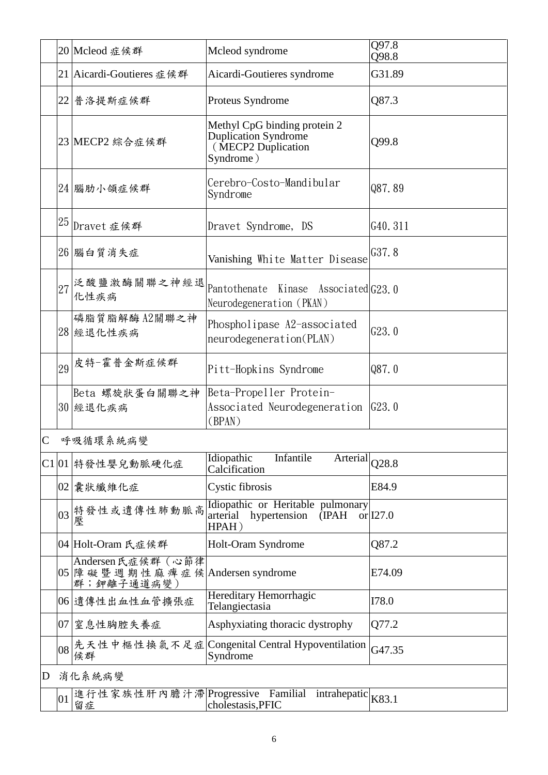|                |    | 20 Mcleod 症候群                                                 | Mcleod syndrome                                                                         | Q97.8<br>Q98.8                                   |
|----------------|----|---------------------------------------------------------------|-----------------------------------------------------------------------------------------|--------------------------------------------------|
|                |    | 21 Aicardi-Goutieres 症候群                                      | Aicardi-Goutieres syndrome                                                              | G31.89                                           |
|                |    | 22 普洛提斯症候群                                                    | Proteus Syndrome                                                                        | Q87.3                                            |
|                |    | 23 MECP2 綜合症候群                                                | Methyl CpG binding protein 2<br>Duplication Syndrome<br>(MECP2 Duplication<br>Syndrome) | Q99.8                                            |
|                |    | 24 腦肋小頜症候群                                                    | Cerebro-Costo-Mandibular<br>Syndrome                                                    | Q87.89                                           |
|                |    | $25$ Dravet 症候群                                               | Dravet Syndrome, DS                                                                     | G40.311                                          |
|                |    | 26 腦白質消失症                                                     | Vanishing White Matter Disease                                                          | G37.8                                            |
|                | 27 | 泛酸鹽激酶關聯之神經退<br>化性疾病                                           | Pantothenate<br>Kinase Associated G23.0<br>Neurodegeneration (PKAN)                     |                                                  |
|                |    | 磷脂質脂解酶 A2關聯之神<br>28 經退化性疾病                                    | Phospholipase A2-associated<br>neurodegeneration(PLAN)                                  | G23.0                                            |
|                | 29 | 皮特-霍普金斯症候群                                                    | Pitt-Hopkins Syndrome                                                                   | Q87.0                                            |
|                |    | Beta 螺旋狀蛋白關聯之神<br>30 經退化疾病                                    | Beta-Propeller Protein-<br>Associated Neurodegeneration<br>(BPAN)                       | G23.0                                            |
| $\overline{C}$ |    | 呼吸循環系統病變                                                      |                                                                                         |                                                  |
|                |    | C1 01 特發性嬰兒動脈硬化症                                              | Infantile<br>Idiopathic<br>Arterial<br>Calcification                                    | Q28.8                                            |
|                |    | $\Omega$ $\overline{E}$ and $\overline{E}$ and $\overline{E}$ |                                                                                         | $\Gamma$ <sup><math>\Omega</math></sup> $\Omega$ |

|   |                                                                       | Caichnealtóil                                                                                                       |        |
|---|-----------------------------------------------------------------------|---------------------------------------------------------------------------------------------------------------------|--------|
|   | 02 囊狀纖維化症                                                             | Cystic fibrosis                                                                                                     | E84.9  |
|   | 03 特發性或遺傳性肺動脈高<br>壓                                                   | Idiopathic or Heritable pulmonary<br>arterial hypertension (IPAH or 127.0)<br>HPAH)                                 |        |
|   | 04 Holt-Oram 氏症候群                                                     | Holt-Oram Syndrome                                                                                                  | Q87.2  |
|   | Andersen 氏症候群 (心節律<br> 05  障礙暨週期性麻痺症候 Andersen syndrome<br>群;鉀離子通道病變) |                                                                                                                     | E74.09 |
|   | 06 遺傳性出血性血管擴張症                                                        | Hereditary Hemorrhagic<br>Telangiectasia                                                                            | I78.0  |
|   | 07 窒息性胸腔失養症                                                           | Asphyxiating thoracic dystrophy                                                                                     | Q77.2  |
|   | 候群                                                                    | $\left.\right _{08}\right $ 先天性中樞性換氣不足症 Congenital Central Hypoventilation $\left.\right _{\rm G47.35}$<br>Syndrome |        |
| D | 消化系統病變                                                                |                                                                                                                     |        |

| 01 | 留症 | 進行性家族性肝內膽汁滯 Progressive Familial<br>cholestasis, PFIC | intrahepatic $\vert_{VQ_2}$ 1 |  |
|----|----|-------------------------------------------------------|-------------------------------|--|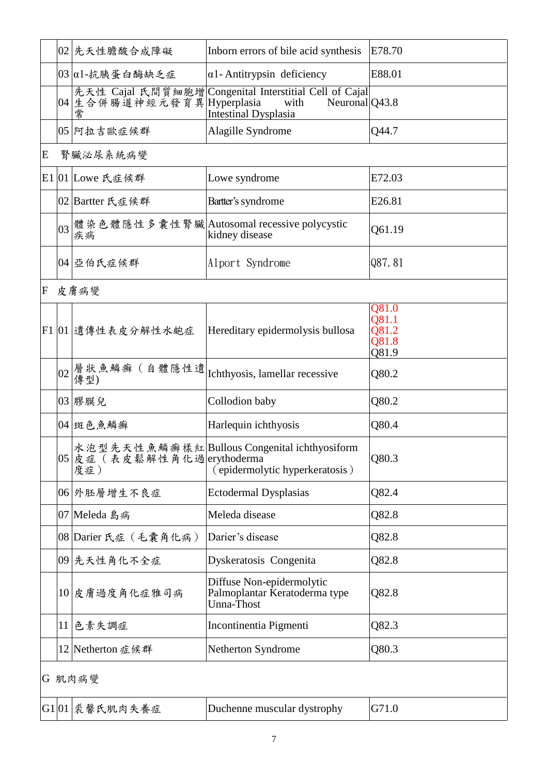|   | 02 先天性膽酸合成障礙                         | Inborn errors of bile acid synthesis                                                                 | E78.70 |
|---|--------------------------------------|------------------------------------------------------------------------------------------------------|--------|
|   | $ 03 $ α1-抗胰蛋白酶缺乏症                   | $\alpha$ 1-Antitrypsin deficiency                                                                    | E88.01 |
|   | 04 生合併腸道神經元發育異 Hyperplasia with<br>常 | 先天性 Cajal 氏間質細胞增 Congenital Interstitial Cell of Cajal <br>Neuronal $Q$ 43.8<br>Intestinal Dysplasia |        |
|   | 05 阿拉吉歐症候群                           | Alagille Syndrome                                                                                    | Q44.7  |
| E | 腎臟泌尿系統病變                             |                                                                                                      |        |
|   | E1 01 Lowe 氏症候群                      | Lowe syndrome                                                                                        | E72.03 |
|   | 02 Bartter 氏症候群                      | Bartter's syndrome                                                                                   | E26.81 |
|   | 疾病                                   | 03 體染色體隱性多囊性腎臟 Autosomal recessive polycystic<br>kidney disease                                      | Q61.19 |

 $\boxed{04}$ 亞伯氏症候群 Alport Syndrome  $\boxed{Q87.81}$ 

F 皮膚病變

|        | F1 01 遺傳性表皮分解性水皰症                  | Hereditary epidermolysis bullosa                                                | Q81.0<br>Q81.1<br>Q81.2<br>Q81.8<br>Q81.9 |  |  |
|--------|------------------------------------|---------------------------------------------------------------------------------|-------------------------------------------|--|--|
|        |                                    |                                                                                 | Q80.2                                     |  |  |
|        | 03 膠膜兒                             | Collodion baby                                                                  | Q80.2                                     |  |  |
|        | 04  斑色魚鱗癬                          | Harlequin ichthyosis                                                            | Q80.4                                     |  |  |
|        | 05 皮症 (表皮鬆解性角化過 erythoderma<br>度症) | 水泡型先天性魚鱗癬樣紅Bullous Congenital ichthyosiform<br>(epidermolytic hyperkeratosis)   | Q80.3                                     |  |  |
|        | 06 外胚層增生不良症                        | <b>Ectodermal Dysplasias</b>                                                    | Q82.4                                     |  |  |
|        | 07 Meleda 島病                       | Meleda disease                                                                  | Q82.8                                     |  |  |
|        | 08 Darier 氏症 (毛囊角化病)               | Darier's disease                                                                | Q82.8                                     |  |  |
|        | 09 先天性角化不全症                        | Dyskeratosis Congenita                                                          | Q82.8                                     |  |  |
|        | 10 皮膚過度角化症雅司病                      | Diffuse Non-epidermolytic<br>Palmoplantar Keratoderma type<br><b>Unna-Thost</b> | Q82.8                                     |  |  |
|        | 11 色素失調症                           | Incontinentia Pigmenti                                                          | Q82.3                                     |  |  |
|        | 12 Netherton 症候群                   | Netherton Syndrome                                                              | Q80.3                                     |  |  |
| G 肌肉病變 |                                    |                                                                                 |                                           |  |  |
|        | G1 01   裘馨氏肌肉失養症                   | Duchenne muscular dystrophy                                                     | G71.0                                     |  |  |

7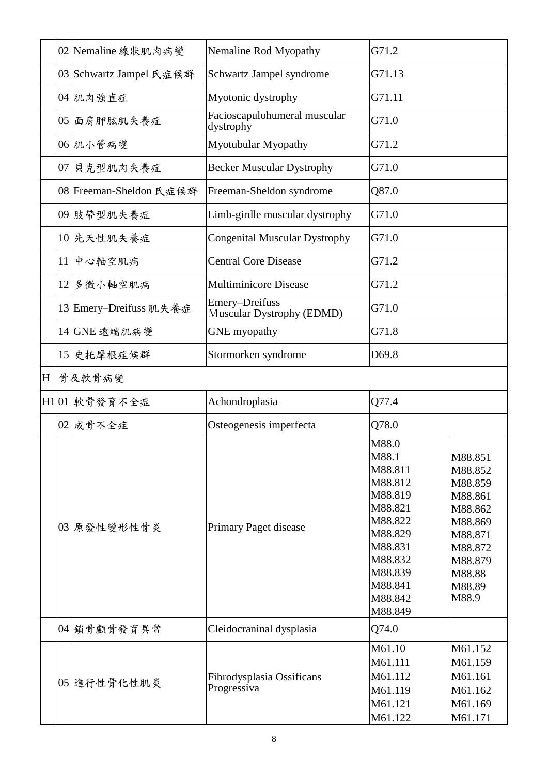|   |                 | 02 Nemaline 線狀肌肉病變      | Nemaline Rod Myopathy                       | G71.2                                                                                                                                              |                                                                                                                              |
|---|-----------------|-------------------------|---------------------------------------------|----------------------------------------------------------------------------------------------------------------------------------------------------|------------------------------------------------------------------------------------------------------------------------------|
|   |                 | 03 Schwartz Jampel 氏症候群 | Schwartz Jampel syndrome                    | G71.13                                                                                                                                             |                                                                                                                              |
|   |                 | 04 肌肉強直症                | Myotonic dystrophy                          | G71.11                                                                                                                                             |                                                                                                                              |
|   |                 | 05 面肩胛肱肌失養症             | Facioscapulohumeral muscular<br>dystrophy   | G71.0                                                                                                                                              |                                                                                                                              |
|   |                 | 06 肌小管病變                | Myotubular Myopathy                         | G71.2                                                                                                                                              |                                                                                                                              |
|   |                 | 07 貝克型肌肉失養症             | <b>Becker Muscular Dystrophy</b>            | G71.0                                                                                                                                              |                                                                                                                              |
|   |                 | 08 Freeman-Sheldon 氏症候群 | Freeman-Sheldon syndrome                    | Q87.0                                                                                                                                              |                                                                                                                              |
|   |                 | 09 肢帶型肌失養症              | Limb-girdle muscular dystrophy              | G71.0                                                                                                                                              |                                                                                                                              |
|   |                 | 10 先天性肌失養症              | <b>Congenital Muscular Dystrophy</b>        | G71.0                                                                                                                                              |                                                                                                                              |
|   | 11 <sup>1</sup> | 中心軸空肌病                  | <b>Central Core Disease</b>                 | G71.2                                                                                                                                              |                                                                                                                              |
|   |                 | 12 多微小軸空肌病              | <b>Multiminicore Disease</b>                | G71.2                                                                                                                                              |                                                                                                                              |
|   |                 | 13 Emery-Dreifuss 肌失養症  | Emery-Dreifuss<br>Muscular Dystrophy (EDMD) | G71.0                                                                                                                                              |                                                                                                                              |
|   |                 | 14 GNE 遠端肌病變            | <b>GNE</b> myopathy                         | G71.8                                                                                                                                              |                                                                                                                              |
|   |                 | 15 史托摩根症候群              | Stormorken syndrome                         | D69.8                                                                                                                                              |                                                                                                                              |
| H |                 | 骨及軟骨病變                  |                                             |                                                                                                                                                    |                                                                                                                              |
|   |                 | H1 01 軟骨發育不全症           | Achondroplasia                              | Q77.4                                                                                                                                              |                                                                                                                              |
|   |                 | 02   成骨不全症              | Osteogenesis imperfecta                     | Q78.0                                                                                                                                              |                                                                                                                              |
|   |                 | 03 原發性變形性骨炎             | <b>Primary Paget disease</b>                | M88.0<br>M88.1<br>M88.811<br>M88.812<br>M88.819<br>M88.821<br>M88.822<br>M88.829<br>M88.831<br>M88.832<br>M88.839<br>M88.841<br>M88.842<br>M88.849 | M88.851<br>M88.852<br>M88.859<br>M88.861<br>M88.862<br>M88.869<br>M88.871<br>M88.872<br>M88.879<br>M88.88<br>M88.89<br>M88.9 |
|   |                 | 04 鎖骨顱骨發育異常             | Cleidocraninal dysplasia                    | Q74.0                                                                                                                                              |                                                                                                                              |
|   |                 | 05 進行性骨化性肌炎             | Fibrodysplasia Ossificans<br>Progressiva    | M61.10<br>M61.111<br>M61.112<br>M61.119<br>M61.121<br>M61.122                                                                                      | M61.152<br>M61.159<br>M61.161<br>M61.162<br>M61.169<br>M61.171                                                               |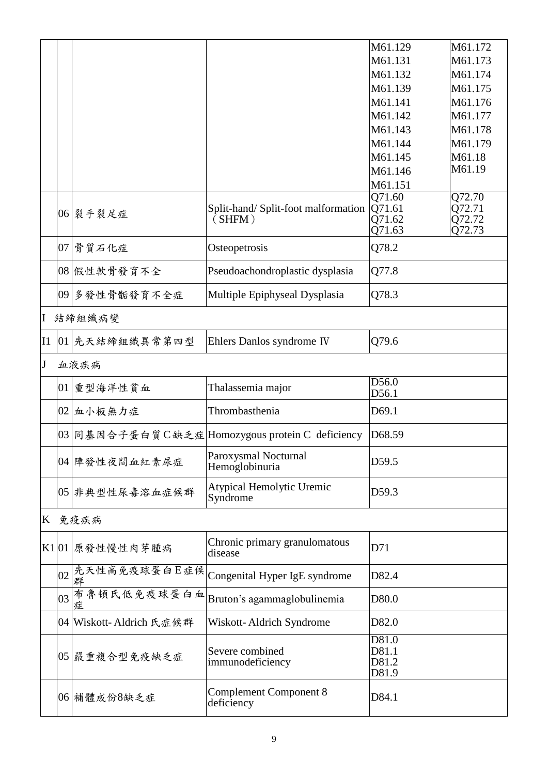|                |    |                            |                                                  | M61.129             | M61.172          |
|----------------|----|----------------------------|--------------------------------------------------|---------------------|------------------|
|                |    |                            |                                                  | M61.131             | M61.173          |
|                |    |                            |                                                  | M61.132             | M61.174          |
|                |    |                            |                                                  | M61.139             | M61.175          |
|                |    |                            |                                                  | M61.141             | M61.176          |
|                |    |                            |                                                  |                     |                  |
|                |    |                            |                                                  | M61.142             | M61.177          |
|                |    |                            |                                                  | M61.143             | M61.178          |
|                |    |                            |                                                  | M61.144             | M61.179          |
|                |    |                            |                                                  | M61.145             | M61.18           |
|                |    |                            |                                                  | M61.146             | M61.19           |
|                |    |                            |                                                  | M61.151             |                  |
|                |    |                            |                                                  | $Q\overline{71.60}$ | Q72.70           |
|                |    | 06 裂手裂足症                   | Split-hand/Split-foot malformation<br>(SHFM)     | Q71.61<br>Q71.62    | Q72.71<br>Q72.72 |
|                |    |                            |                                                  | Q71.63              | Q72.73           |
|                |    |                            |                                                  |                     |                  |
|                |    | $07$ 骨質石化症                 | Osteopetrosis                                    | Q78.2               |                  |
|                |    | 08 假性軟骨發育不全                | Pseudoachondroplastic dysplasia                  | Q77.8               |                  |
|                |    | 09 多發性骨骺發育不全症              | Multiple Epiphyseal Dysplasia                    | Q78.3               |                  |
| I              |    | 結締組織病變                     |                                                  |                     |                  |
| I <sub>1</sub> |    | 01 先天結締組織異常第四型             | Ehlers Danlos syndrome IV                        | Q79.6               |                  |
| $\mathbf{J}$   |    | 血液疾病                       |                                                  |                     |                  |
|                |    | 01 重型海洋性貧血                 | Thalassemia major                                | D56.0<br>D56.1      |                  |
|                |    | 02 血小板無力症                  | Thrombasthenia                                   | D69.1               |                  |
|                |    |                            | 03 同基因合子蛋白質 C缺乏症 Homozygous protein C deficiency | D68.59              |                  |
|                |    | 04 陣發性夜間血紅素尿症              | Paroxysmal Nocturnal<br>Hemoglobinuria           | D59.5               |                  |
|                |    | 05 非典型性尿毒溶血症候群             | Atypical Hemolytic Uremic<br>Syndrome            | D59.3               |                  |
| K              |    | 免疫疾病                       |                                                  |                     |                  |
|                |    | K1 01 原發性慢性肉芽腫病            | Chronic primary granulomatous<br>disease         | D71                 |                  |
|                | 02 | 先天性高免疫球蛋白E症候<br>群          | Congenital Hyper IgE syndrome                    | D82.4               |                  |
|                | 03 | 布魯頓氏低免疫球蛋白血<br>症           | Bruton's agammaglobulinemia                      | D80.0               |                  |
|                |    | 04   Wiskott- Aldrich 氏症候群 | Wiskott-Aldrich Syndrome                         | D82.0               |                  |
|                |    |                            |                                                  | D81.0               |                  |
|                |    | 05 嚴重複合型免疫缺乏症              | Severe combined                                  | D81.1               |                  |
|                |    |                            | immunodeficiency                                 | D81.2<br>D81.9      |                  |
|                |    |                            |                                                  |                     |                  |
|                |    | 06 補體成份8缺乏症                | Complement Component 8<br>deficiency             | D84.1               |                  |
|                |    |                            |                                                  |                     |                  |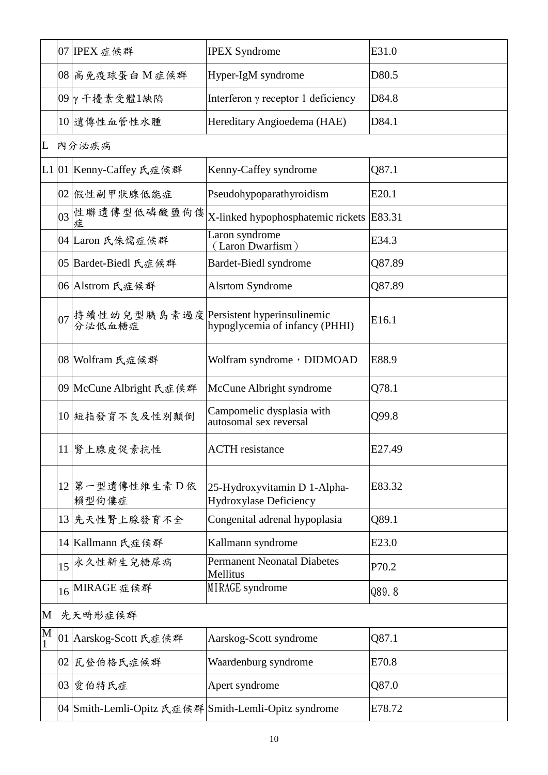|   |    | 07 IPEX 症候群                                                                             | <b>IPEX Syndrome</b>                                   | E31.0  |  |  |
|---|----|-----------------------------------------------------------------------------------------|--------------------------------------------------------|--------|--|--|
|   |    | 08 高免疫球蛋白 M 症候群                                                                         | Hyper-IgM syndrome                                     | D80.5  |  |  |
|   |    | $09$ γ 干擾素受體1缺陷                                                                         | Interferon $\gamma$ receptor 1 deficiency              | D84.8  |  |  |
|   |    | 10 遺傳性血管性水腫                                                                             | Hereditary Angioedema (HAE)                            | D84.1  |  |  |
| L |    | 内分泌疾病                                                                                   |                                                        |        |  |  |
|   |    | L1 01 Kenny-Caffey 氏症候群                                                                 | Kenny-Caffey syndrome                                  | Q87.1  |  |  |
|   |    | 02 假性副甲狀腺低能症                                                                            | Pseudohypoparathyroidism                               | E20.1  |  |  |
|   |    | 03 性聯遺傳型低磷酸鹽佝僂<br>症                                                                     | X-linked hypophosphatemic rickets                      | E83.31 |  |  |
|   |    | 04 Laron 氏侏儒症候群                                                                         | Laron syndrome<br>(Laron Dwarfism)                     | E34.3  |  |  |
|   |    | 05 Bardet-Biedl 氏症候群                                                                    | Bardet-Biedl syndrome                                  | Q87.89 |  |  |
|   |    | 06 Alstrom 氏症候群                                                                         | <b>Alsrtom Syndrome</b>                                | Q87.89 |  |  |
|   |    | 07  持續性幼兒型胰島素過度  Persistent hyperinsulinemic<br> の  分泌低血糖症  hypoglycemia of infancy (P) | hypoglycemia of infancy (PHHI)                         | E16.1  |  |  |
|   |    | 08 Wolfram 氏症候群                                                                         | Wolfram syndrome, DIDMOAD                              | E88.9  |  |  |
|   |    | 09 McCune Albright 氏症候群                                                                 | McCune Albright syndrome                               | Q78.1  |  |  |
|   |    | 10 短指發育不良及性別顛倒                                                                          | Campomelic dysplasia with<br>autosomal sex reversal    | Q99.8  |  |  |
|   |    | 11   腎上腺皮促素抗性                                                                           | <b>ACTH</b> resistance                                 | E27.49 |  |  |
|   |    | 12 第一型遺傳性維生素 D 依<br>賴型佝僂症                                                               | 25-Hydroxyvitamin D 1-Alpha-<br>Hydroxylase Deficiency | E83.32 |  |  |
|   |    | 13 先天性腎上腺發育不全                                                                           | Congenital adrenal hypoplasia                          | Q89.1  |  |  |
|   |    | 14 Kallmann 氏症候群                                                                        | Kallmann syndrome                                      | E23.0  |  |  |
|   | 15 | 永久性新生兒糖尿病                                                                               | <b>Permanent Neonatal Diabetes</b><br>Mellitus         | P70.2  |  |  |
|   |    | 16 MIRAGE 症候群                                                                           | MIRAGE syndrome                                        | Q89.8  |  |  |
| M |    | 先天畸形症候群                                                                                 |                                                        |        |  |  |
| M |    | 01 Aarskog-Scott 氏症候群                                                                   | Aarskog-Scott syndrome                                 | Q87.1  |  |  |
|   |    | 02 瓦登伯格氏症候群                                                                             | Waardenburg syndrome                                   | E70.8  |  |  |
|   |    | 03 愛伯特氏症                                                                                | Apert syndrome                                         | Q87.0  |  |  |
|   |    |                                                                                         | 04 Smith-Lemli-Opitz 氏症候群 Smith-Lemli-Opitz syndrome   | E78.72 |  |  |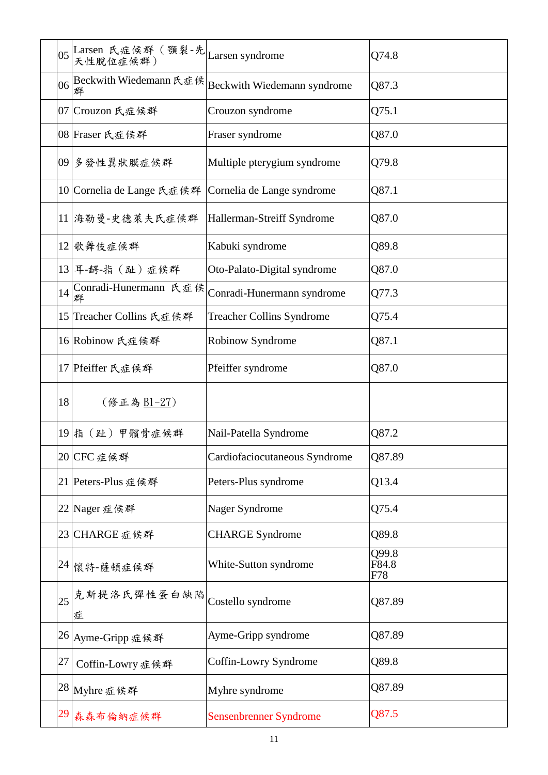|    |                            |                                  | Q74.8                 |
|----|----------------------------|----------------------------------|-----------------------|
|    | 06 Beckwith Wiedemann 氏症候  | Beckwith Wiedemann syndrome      | Q87.3                 |
|    | 07   Crouzon 氏症候群          | Crouzon syndrome                 | Q75.1                 |
|    | 08   Fraser 氏症候群           | Fraser syndrome                  | Q87.0                 |
|    | 09 多發性翼狀膜症候群               | Multiple pterygium syndrome      | Q79.8                 |
|    | 10 Cornelia de Lange 氏症候群  | Cornelia de Lange syndrome       | Q87.1                 |
|    | 11 海勒曼-史德萊夫氏症候群            | Hallerman-Streiff Syndrome       | Q87.0                 |
|    | 12 歌舞伎症候群                  | Kabuki syndrome                  | Q89.8                 |
|    | 13 耳-齶-指 (趾)症候群            | Oto-Palato-Digital syndrome      | Q87.0                 |
| 14 | Conradi-Hunermann 氏症候<br>群 | Conradi-Hunermann syndrome       | Q77.3                 |
|    | 15 Treacher Collins 氏症候群   | <b>Treacher Collins Syndrome</b> | Q75.4                 |
|    | 16 Robinow 氏症候群            | Robinow Syndrome                 | Q87.1                 |
|    | 17 Pfeiffer 氏症候群           | Pfeiffer syndrome                | Q87.0                 |
|    |                            |                                  |                       |
| 18 | (修正為 B1-27)                |                                  |                       |
|    | 19 指 (趾) 甲髕骨症候群            | Nail-Patella Syndrome            | Q87.2                 |
|    | 20 CFC 症候群                 | Cardiofaciocutaneous Syndrome    | Q87.89                |
|    | 21 Peters-Plus 症候群         | Peters-Plus syndrome             | Q13.4                 |
|    | 22 Nager 症候群               | Nager Syndrome                   | Q75.4                 |
|    | 23 CHARGE 症候群              | <b>CHARGE</b> Syndrome           | Q89.8                 |
|    | 24 懷特-薩頓症候群                | White-Sutton syndrome            | Q99.8<br>F84.8<br>F78 |
| 25 | 克斯提洛氏彈性蛋白缺陷<br>症           | Costello syndrome                | Q87.89                |
|    | 26   Ayme-Gripp 症候群        | Ayme-Gripp syndrome              | Q87.89                |
| 27 | Coffin-Lowry 症候群           | Coffin-Lowry Syndrome            | Q89.8                 |
|    | 28 Myhre 症候群               | Myhre syndrome                   | Q87.89                |